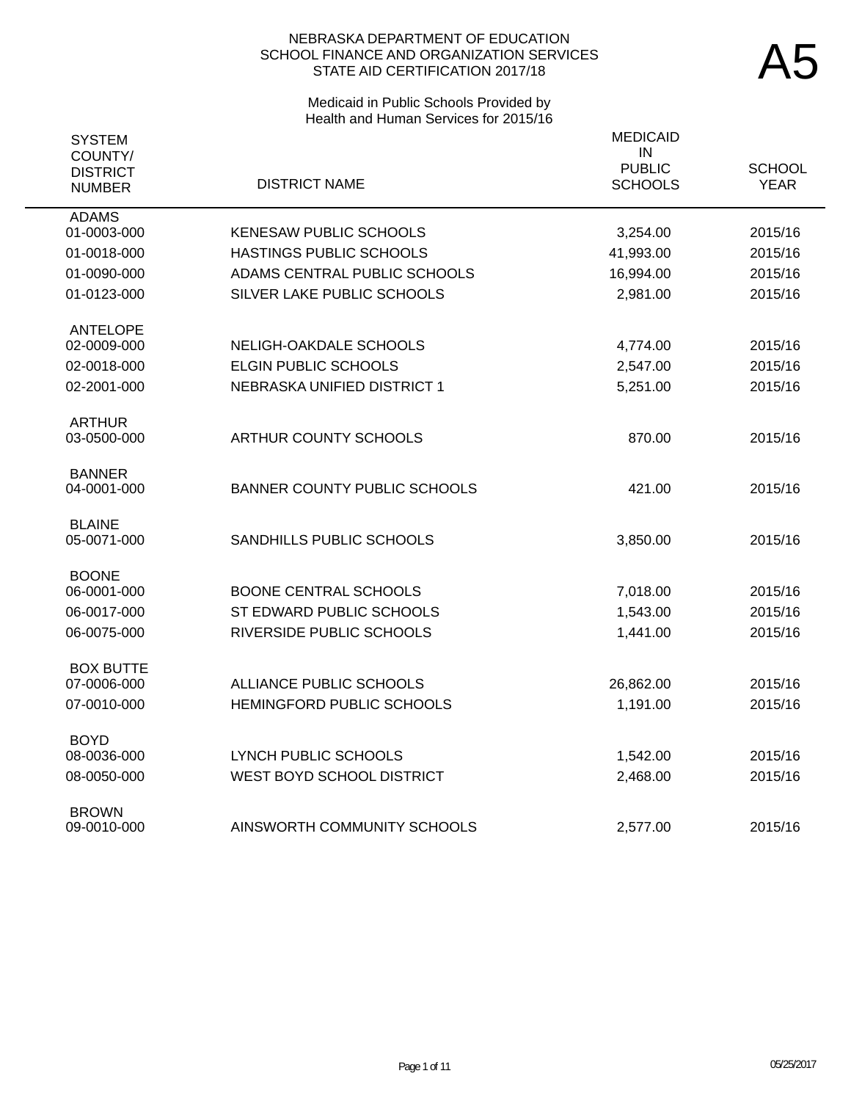# Medicaid in Public Schools Provided by Health and Human Services for 2015/16

| <b>SYSTEM</b><br>COUNTY/<br><b>DISTRICT</b><br><b>NUMBER</b> | <b>DISTRICT NAME</b>          | <b>MEDICAID</b><br>$\sf IN$<br><b>PUBLIC</b><br><b>SCHOOLS</b> | <b>SCHOOL</b><br><b>YEAR</b> |
|--------------------------------------------------------------|-------------------------------|----------------------------------------------------------------|------------------------------|
| <b>ADAMS</b><br>01-0003-000                                  | <b>KENESAW PUBLIC SCHOOLS</b> | 3,254.00                                                       | 2015/16                      |
| 01-0018-000                                                  | HASTINGS PUBLIC SCHOOLS       | 41,993.00                                                      | 2015/16                      |
| 01-0090-000                                                  | ADAMS CENTRAL PUBLIC SCHOOLS  | 16,994.00                                                      | 2015/16                      |
| 01-0123-000                                                  | SILVER LAKE PUBLIC SCHOOLS    | 2,981.00                                                       | 2015/16                      |
| <b>ANTELOPE</b>                                              |                               |                                                                |                              |
| 02-0009-000                                                  | NELIGH-OAKDALE SCHOOLS        | 4,774.00                                                       | 2015/16                      |
| 02-0018-000                                                  | <b>ELGIN PUBLIC SCHOOLS</b>   | 2,547.00                                                       | 2015/16                      |
| 02-2001-000                                                  | NEBRASKA UNIFIED DISTRICT 1   | 5,251.00                                                       | 2015/16                      |
| <b>ARTHUR</b><br>03-0500-000                                 | ARTHUR COUNTY SCHOOLS         | 870.00                                                         | 2015/16                      |
| <b>BANNER</b><br>04-0001-000                                 | BANNER COUNTY PUBLIC SCHOOLS  | 421.00                                                         | 2015/16                      |
| <b>BLAINE</b><br>05-0071-000                                 | SANDHILLS PUBLIC SCHOOLS      | 3,850.00                                                       | 2015/16                      |
| <b>BOONE</b><br>06-0001-000                                  | <b>BOONE CENTRAL SCHOOLS</b>  |                                                                |                              |
|                                                              |                               | 7,018.00                                                       | 2015/16<br>2015/16           |
| 06-0017-000                                                  | ST EDWARD PUBLIC SCHOOLS      | 1,543.00                                                       |                              |
| 06-0075-000                                                  | RIVERSIDE PUBLIC SCHOOLS      | 1,441.00                                                       | 2015/16                      |
| <b>BOX BUTTE</b><br>07-0006-000                              | ALLIANCE PUBLIC SCHOOLS       | 26,862.00                                                      | 2015/16                      |
|                                                              | HEMINGFORD PUBLIC SCHOOLS     |                                                                |                              |
| 07-0010-000                                                  |                               | 1,191.00                                                       | 2015/16                      |
| <b>BOYD</b>                                                  | <b>LYNCH PUBLIC SCHOOLS</b>   |                                                                |                              |
| 08-0036-000                                                  |                               | 1,542.00                                                       | 2015/16                      |
| 08-0050-000                                                  | WEST BOYD SCHOOL DISTRICT     | 2,468.00                                                       | 2015/16                      |
| <b>BROWN</b><br>09-0010-000                                  | AINSWORTH COMMUNITY SCHOOLS   | 2.577.00                                                       | 2015/16                      |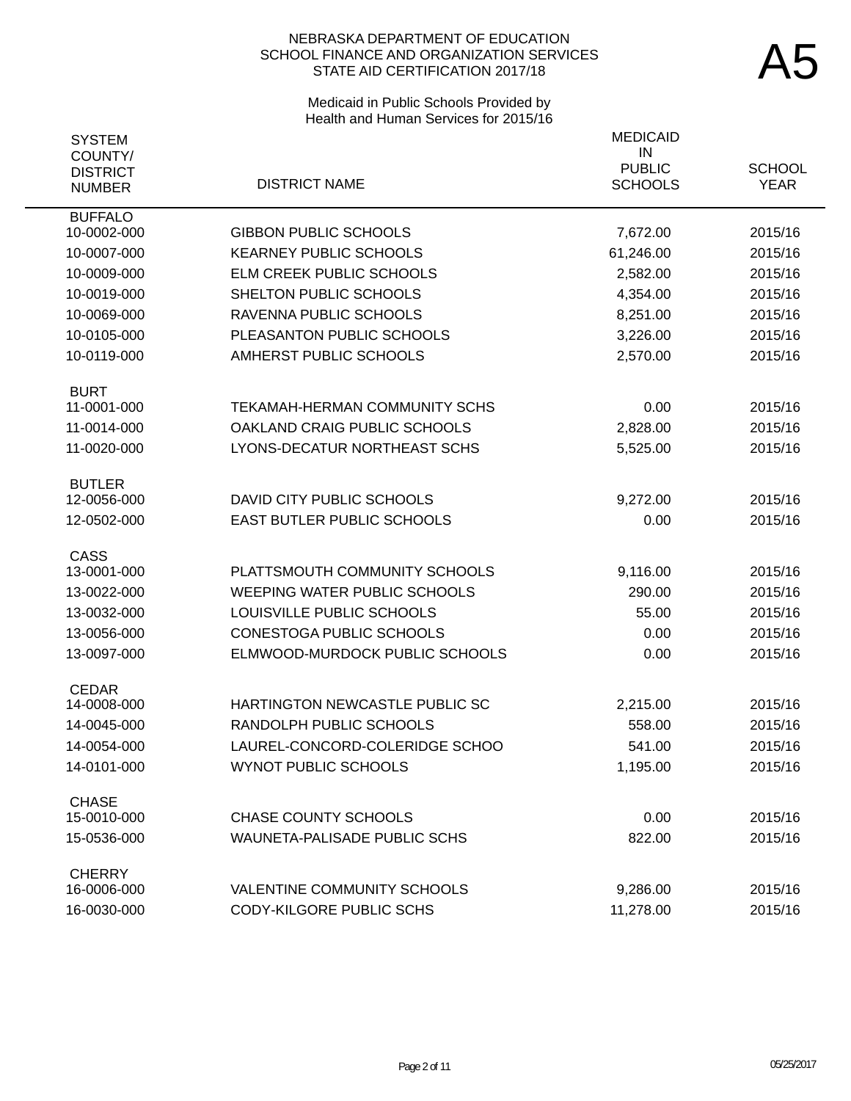# Medicaid in Public Schools Provided by Health and Human Services for 2015/16

| <b>SYSTEM</b>                               |                                      | <b>MEDICAID</b><br>IN           |                              |
|---------------------------------------------|--------------------------------------|---------------------------------|------------------------------|
| COUNTY/<br><b>DISTRICT</b><br><b>NUMBER</b> | <b>DISTRICT NAME</b>                 | <b>PUBLIC</b><br><b>SCHOOLS</b> | <b>SCHOOL</b><br><b>YEAR</b> |
| <b>BUFFALO</b><br>10-0002-000               | <b>GIBBON PUBLIC SCHOOLS</b>         | 7,672.00                        | 2015/16                      |
| 10-0007-000                                 | <b>KEARNEY PUBLIC SCHOOLS</b>        | 61,246.00                       | 2015/16                      |
| 10-0009-000                                 | <b>ELM CREEK PUBLIC SCHOOLS</b>      | 2,582.00                        | 2015/16                      |
| 10-0019-000                                 | SHELTON PUBLIC SCHOOLS               | 4,354.00                        | 2015/16                      |
| 10-0069-000                                 | RAVENNA PUBLIC SCHOOLS               | 8,251.00                        | 2015/16                      |
| 10-0105-000                                 | PLEASANTON PUBLIC SCHOOLS            | 3,226.00                        | 2015/16                      |
| 10-0119-000                                 | AMHERST PUBLIC SCHOOLS               | 2,570.00                        | 2015/16                      |
| <b>BURT</b>                                 |                                      |                                 |                              |
| 11-0001-000                                 | <b>TEKAMAH-HERMAN COMMUNITY SCHS</b> | 0.00                            | 2015/16                      |
| 11-0014-000                                 | OAKLAND CRAIG PUBLIC SCHOOLS         | 2,828.00                        | 2015/16                      |
| 11-0020-000                                 | LYONS-DECATUR NORTHEAST SCHS         | 5,525.00                        | 2015/16                      |
| <b>BUTLER</b><br>12-0056-000                | DAVID CITY PUBLIC SCHOOLS            | 9,272.00                        | 2015/16                      |
| 12-0502-000                                 | EAST BUTLER PUBLIC SCHOOLS           | 0.00                            | 2015/16                      |
|                                             |                                      |                                 |                              |
| CASS                                        |                                      |                                 |                              |
| 13-0001-000                                 | PLATTSMOUTH COMMUNITY SCHOOLS        | 9,116.00                        | 2015/16                      |
| 13-0022-000                                 | <b>WEEPING WATER PUBLIC SCHOOLS</b>  | 290.00                          | 2015/16                      |
| 13-0032-000                                 | LOUISVILLE PUBLIC SCHOOLS            | 55.00                           | 2015/16                      |
| 13-0056-000                                 | CONESTOGA PUBLIC SCHOOLS             | 0.00                            | 2015/16                      |
| 13-0097-000                                 | ELMWOOD-MURDOCK PUBLIC SCHOOLS       | 0.00                            | 2015/16                      |
| <b>CEDAR</b><br>14-0008-000                 | HARTINGTON NEWCASTLE PUBLIC SC       | 2,215.00                        | 2015/16                      |
| 14-0045-000                                 | RANDOLPH PUBLIC SCHOOLS              | 558.00                          | 2015/16                      |
| 14-0054-000                                 | LAUREL-CONCORD-COLERIDGE SCHOO       | 541.00                          | 2015/16                      |
| 14-0101-000                                 | <b>WYNOT PUBLIC SCHOOLS</b>          | 1,195.00                        | 2015/16                      |
|                                             |                                      |                                 |                              |
| <b>CHASE</b><br>15-0010-000                 | <b>CHASE COUNTY SCHOOLS</b>          | 0.00                            | 2015/16                      |
| 15-0536-000                                 | <b>WAUNETA-PALISADE PUBLIC SCHS</b>  | 822.00                          | 2015/16                      |
|                                             |                                      |                                 |                              |
| <b>CHERRY</b><br>16-0006-000                | VALENTINE COMMUNITY SCHOOLS          | 9,286.00                        | 2015/16                      |
| 16-0030-000                                 | CODY-KILGORE PUBLIC SCHS             | 11,278.00                       | 2015/16                      |
|                                             |                                      |                                 |                              |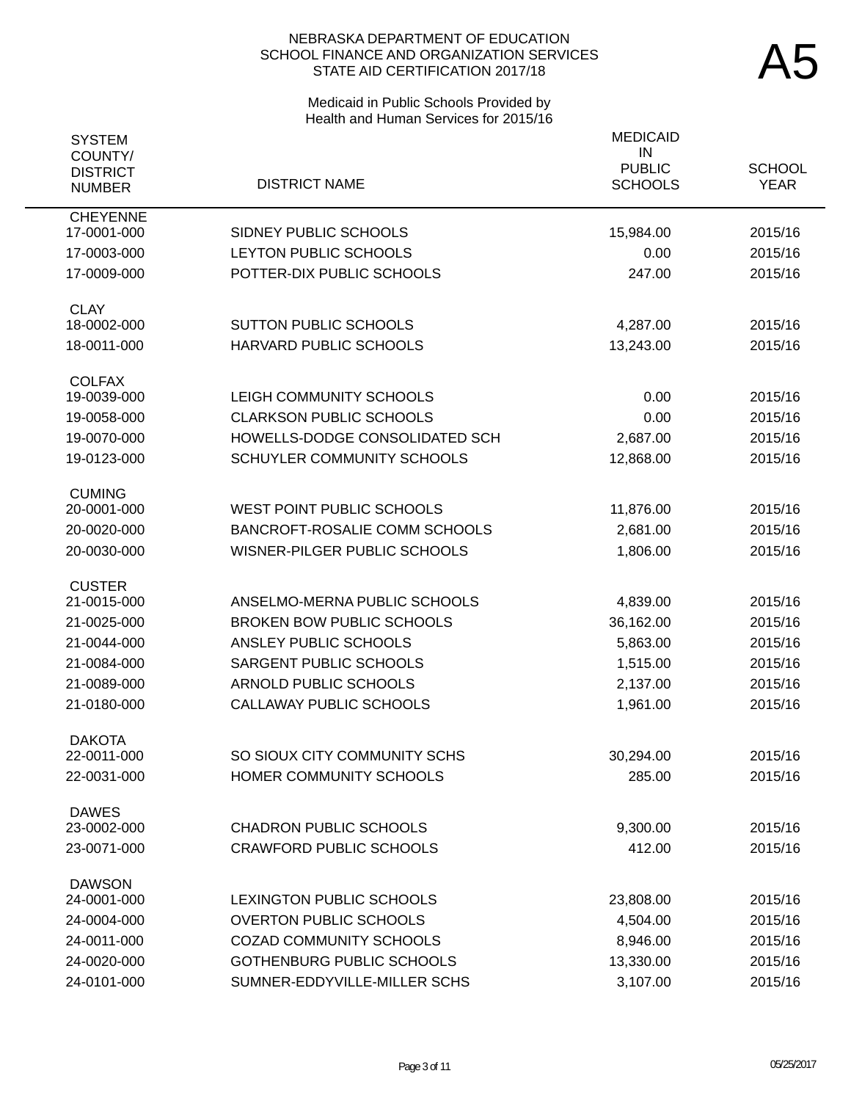# Medicaid in Public Schools Provided by Health and Human Services for 2015/16

| <b>SYSTEM</b><br>COUNTY/         |                                   | <b>MEDICAID</b><br>IN           |                              |
|----------------------------------|-----------------------------------|---------------------------------|------------------------------|
| <b>DISTRICT</b><br><b>NUMBER</b> | <b>DISTRICT NAME</b>              | <b>PUBLIC</b><br><b>SCHOOLS</b> | <b>SCHOOL</b><br><b>YEAR</b> |
| <b>CHEYENNE</b><br>17-0001-000   | SIDNEY PUBLIC SCHOOLS             | 15,984.00                       | 2015/16                      |
| 17-0003-000                      | LEYTON PUBLIC SCHOOLS             | 0.00                            | 2015/16                      |
| 17-0009-000                      | POTTER-DIX PUBLIC SCHOOLS         | 247.00                          | 2015/16                      |
| <b>CLAY</b>                      |                                   |                                 |                              |
| 18-0002-000                      | <b>SUTTON PUBLIC SCHOOLS</b>      | 4,287.00                        | 2015/16                      |
| 18-0011-000                      | HARVARD PUBLIC SCHOOLS            | 13,243.00                       | 2015/16                      |
| <b>COLFAX</b><br>19-0039-000     | LEIGH COMMUNITY SCHOOLS           | 0.00                            | 2015/16                      |
| 19-0058-000                      | <b>CLARKSON PUBLIC SCHOOLS</b>    | 0.00                            | 2015/16                      |
| 19-0070-000                      | HOWELLS-DODGE CONSOLIDATED SCH    | 2,687.00                        | 2015/16                      |
| 19-0123-000                      | <b>SCHUYLER COMMUNITY SCHOOLS</b> | 12,868.00                       | 2015/16                      |
| <b>CUMING</b>                    |                                   |                                 |                              |
| 20-0001-000                      | <b>WEST POINT PUBLIC SCHOOLS</b>  | 11,876.00                       | 2015/16                      |
| 20-0020-000                      | BANCROFT-ROSALIE COMM SCHOOLS     | 2,681.00                        | 2015/16                      |
| 20-0030-000                      | WISNER-PILGER PUBLIC SCHOOLS      | 1,806.00                        | 2015/16                      |
| <b>CUSTER</b><br>21-0015-000     | ANSELMO-MERNA PUBLIC SCHOOLS      | 4,839.00                        | 2015/16                      |
| 21-0025-000                      | <b>BROKEN BOW PUBLIC SCHOOLS</b>  | 36,162.00                       | 2015/16                      |
| 21-0044-000                      | ANSLEY PUBLIC SCHOOLS             | 5,863.00                        | 2015/16                      |
| 21-0084-000                      | SARGENT PUBLIC SCHOOLS            | 1,515.00                        | 2015/16                      |
| 21-0089-000                      | <b>ARNOLD PUBLIC SCHOOLS</b>      | 2,137.00                        | 2015/16                      |
| 21-0180-000                      | CALLAWAY PUBLIC SCHOOLS           | 1,961.00                        | 2015/16                      |
| <b>DAKOTA</b>                    |                                   |                                 |                              |
| 22-0011-000                      | SO SIOUX CITY COMMUNITY SCHS      | 30,294.00                       | 2015/16                      |
| 22-0031-000                      | HOMER COMMUNITY SCHOOLS           | 285.00                          | 2015/16                      |
| <b>DAWES</b><br>23-0002-000      | <b>CHADRON PUBLIC SCHOOLS</b>     | 9,300.00                        | 2015/16                      |
| 23-0071-000                      | <b>CRAWFORD PUBLIC SCHOOLS</b>    | 412.00                          | 2015/16                      |
| <b>DAWSON</b>                    |                                   |                                 |                              |
| 24-0001-000                      | <b>LEXINGTON PUBLIC SCHOOLS</b>   | 23,808.00                       | 2015/16                      |
| 24-0004-000                      | <b>OVERTON PUBLIC SCHOOLS</b>     | 4,504.00                        | 2015/16                      |
| 24-0011-000                      | <b>COZAD COMMUNITY SCHOOLS</b>    | 8,946.00                        | 2015/16                      |
| 24-0020-000                      | <b>GOTHENBURG PUBLIC SCHOOLS</b>  | 13,330.00                       | 2015/16                      |
| 24-0101-000                      | SUMNER-EDDYVILLE-MILLER SCHS      | 3,107.00                        | 2015/16                      |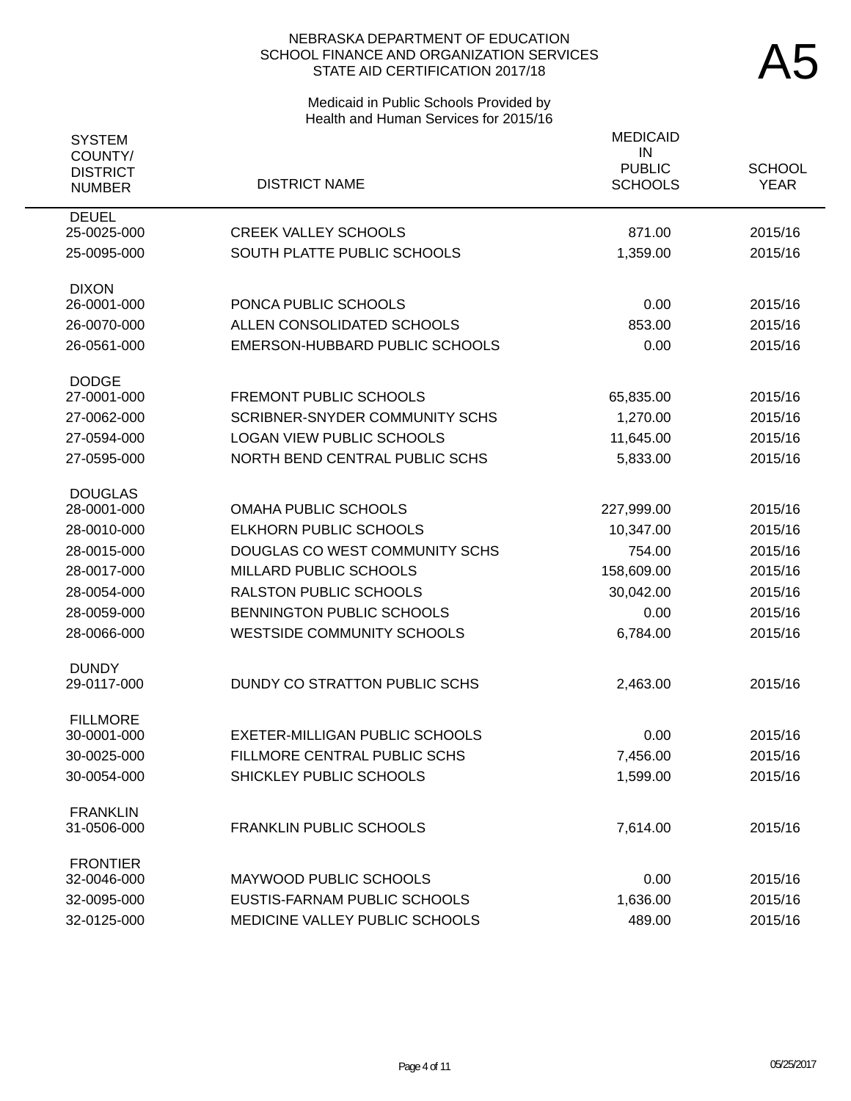# Medicaid in Public Schools Provided by Health and Human Services for 2015/16

| <b>SYSTEM</b><br>COUNTY/         |                                       | <b>MEDICAID</b><br>IN           |                              |
|----------------------------------|---------------------------------------|---------------------------------|------------------------------|
| <b>DISTRICT</b><br><b>NUMBER</b> | <b>DISTRICT NAME</b>                  | <b>PUBLIC</b><br><b>SCHOOLS</b> | <b>SCHOOL</b><br><b>YEAR</b> |
| <b>DEUEL</b><br>25-0025-000      | <b>CREEK VALLEY SCHOOLS</b>           | 871.00                          | 2015/16                      |
| 25-0095-000                      | SOUTH PLATTE PUBLIC SCHOOLS           | 1,359.00                        | 2015/16                      |
| <b>DIXON</b>                     |                                       |                                 |                              |
| 26-0001-000                      | PONCA PUBLIC SCHOOLS                  | 0.00                            | 2015/16                      |
| 26-0070-000                      | ALLEN CONSOLIDATED SCHOOLS            | 853.00                          | 2015/16                      |
| 26-0561-000                      | EMERSON-HUBBARD PUBLIC SCHOOLS        | 0.00                            | 2015/16                      |
| <b>DODGE</b><br>27-0001-000      | <b>FREMONT PUBLIC SCHOOLS</b>         | 65,835.00                       | 2015/16                      |
| 27-0062-000                      | <b>SCRIBNER-SNYDER COMMUNITY SCHS</b> | 1,270.00                        | 2015/16                      |
| 27-0594-000                      | <b>LOGAN VIEW PUBLIC SCHOOLS</b>      | 11,645.00                       | 2015/16                      |
| 27-0595-000                      | NORTH BEND CENTRAL PUBLIC SCHS        | 5,833.00                        | 2015/16                      |
| <b>DOUGLAS</b>                   |                                       |                                 |                              |
| 28-0001-000                      | <b>OMAHA PUBLIC SCHOOLS</b>           | 227,999.00                      | 2015/16                      |
| 28-0010-000                      | <b>ELKHORN PUBLIC SCHOOLS</b>         | 10,347.00                       | 2015/16                      |
| 28-0015-000                      | DOUGLAS CO WEST COMMUNITY SCHS        | 754.00                          | 2015/16                      |
| 28-0017-000                      | MILLARD PUBLIC SCHOOLS                | 158,609.00                      | 2015/16                      |
| 28-0054-000                      | <b>RALSTON PUBLIC SCHOOLS</b>         | 30,042.00                       | 2015/16                      |
| 28-0059-000                      | BENNINGTON PUBLIC SCHOOLS             | 0.00                            | 2015/16                      |
| 28-0066-000                      | <b>WESTSIDE COMMUNITY SCHOOLS</b>     | 6,784.00                        | 2015/16                      |
| <b>DUNDY</b><br>29-0117-000      | DUNDY CO STRATTON PUBLIC SCHS         | 2,463.00                        | 2015/16                      |
| <b>FILLMORE</b>                  |                                       |                                 |                              |
| 30-0001-000                      | <b>EXETER-MILLIGAN PUBLIC SCHOOLS</b> | 0.00                            | 2015/16                      |
| 30-0025-000                      | FILLMORE CENTRAL PUBLIC SCHS          | 7,456.00                        | 2015/16                      |
| 30-0054-000                      | SHICKLEY PUBLIC SCHOOLS               | 1,599.00                        | 2015/16                      |
| <b>FRANKLIN</b><br>31-0506-000   | <b>FRANKLIN PUBLIC SCHOOLS</b>        | 7,614.00                        | 2015/16                      |
| <b>FRONTIER</b><br>32-0046-000   | MAYWOOD PUBLIC SCHOOLS                | 0.00                            | 2015/16                      |
| 32-0095-000                      | EUSTIS-FARNAM PUBLIC SCHOOLS          | 1,636.00                        | 2015/16                      |
| 32-0125-000                      | MEDICINE VALLEY PUBLIC SCHOOLS        | 489.00                          | 2015/16                      |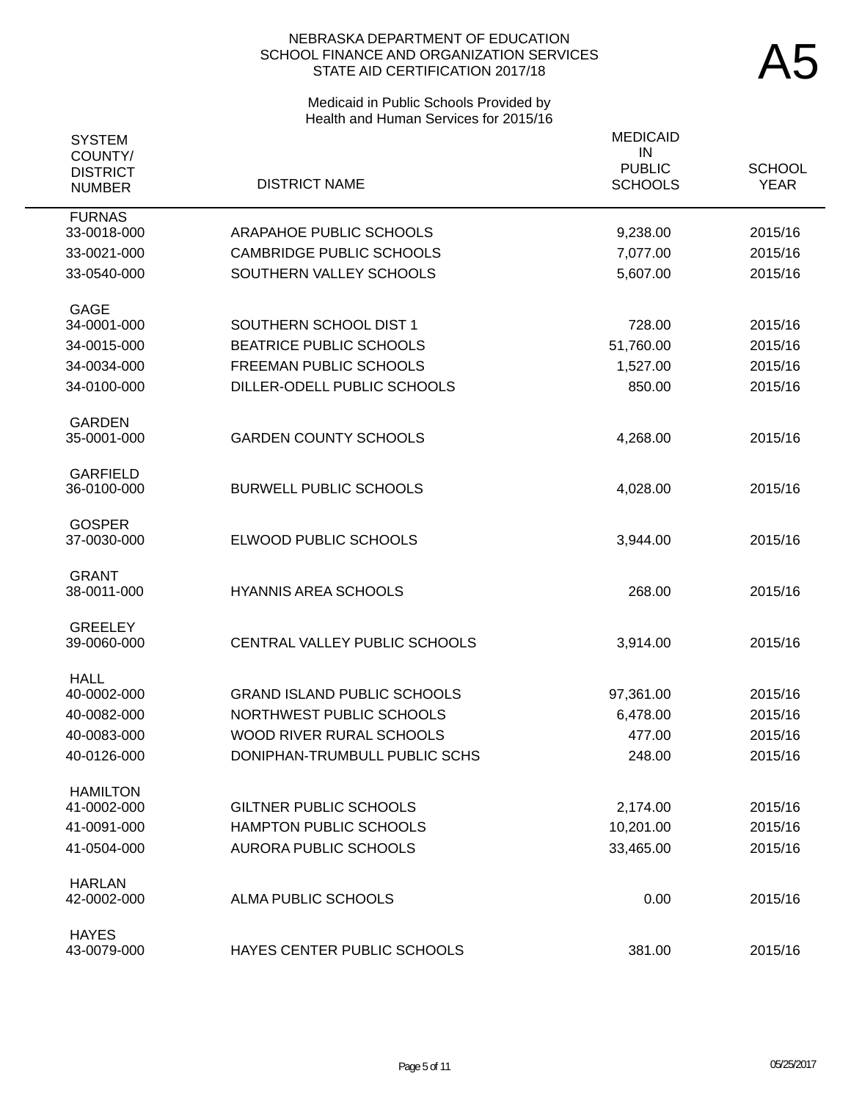# Medicaid in Public Schools Provided by Health and Human Services for 2015/16

| <b>SYSTEM</b>                               |                                    | <b>MEDICAID</b>                       |                              |
|---------------------------------------------|------------------------------------|---------------------------------------|------------------------------|
| COUNTY/<br><b>DISTRICT</b><br><b>NUMBER</b> | <b>DISTRICT NAME</b>               | IN<br><b>PUBLIC</b><br><b>SCHOOLS</b> | <b>SCHOOL</b><br><b>YEAR</b> |
| <b>FURNAS</b><br>33-0018-000                | ARAPAHOE PUBLIC SCHOOLS            | 9,238.00                              | 2015/16                      |
| 33-0021-000                                 | <b>CAMBRIDGE PUBLIC SCHOOLS</b>    | 7,077.00                              | 2015/16                      |
| 33-0540-000                                 | SOUTHERN VALLEY SCHOOLS            | 5,607.00                              | 2015/16                      |
|                                             |                                    |                                       |                              |
| <b>GAGE</b>                                 |                                    |                                       |                              |
| 34-0001-000                                 | SOUTHERN SCHOOL DIST 1             | 728.00                                | 2015/16                      |
| 34-0015-000                                 | <b>BEATRICE PUBLIC SCHOOLS</b>     | 51,760.00                             | 2015/16                      |
| 34-0034-000                                 | <b>FREEMAN PUBLIC SCHOOLS</b>      | 1,527.00                              | 2015/16                      |
| 34-0100-000                                 | DILLER-ODELL PUBLIC SCHOOLS        | 850.00                                | 2015/16                      |
| <b>GARDEN</b>                               |                                    |                                       |                              |
| 35-0001-000                                 | <b>GARDEN COUNTY SCHOOLS</b>       | 4,268.00                              | 2015/16                      |
|                                             |                                    |                                       |                              |
| <b>GARFIELD</b>                             |                                    |                                       |                              |
| 36-0100-000                                 | <b>BURWELL PUBLIC SCHOOLS</b>      | 4,028.00                              | 2015/16                      |
| <b>GOSPER</b>                               |                                    |                                       |                              |
| 37-0030-000                                 | ELWOOD PUBLIC SCHOOLS              | 3,944.00                              | 2015/16                      |
| <b>GRANT</b>                                |                                    |                                       |                              |
| 38-0011-000                                 | <b>HYANNIS AREA SCHOOLS</b>        | 268.00                                | 2015/16                      |
|                                             |                                    |                                       |                              |
| <b>GREELEY</b>                              |                                    |                                       |                              |
| 39-0060-000                                 | CENTRAL VALLEY PUBLIC SCHOOLS      | 3,914.00                              | 2015/16                      |
| <b>HALL</b>                                 |                                    |                                       |                              |
| 40-0002-000                                 | <b>GRAND ISLAND PUBLIC SCHOOLS</b> | 97,361.00                             | 2015/16                      |
| 40-0082-000                                 | NORTHWEST PUBLIC SCHOOLS           | 6,478.00                              | 2015/16                      |
| 40-0083-000                                 | WOOD RIVER RURAL SCHOOLS           | 477.00                                | 2015/16                      |
| 40-0126-000                                 | DONIPHAN-TRUMBULL PUBLIC SCHS      | 248.00                                | 2015/16                      |
| <b>HAMILTON</b>                             |                                    |                                       |                              |
| 41-0002-000                                 | <b>GILTNER PUBLIC SCHOOLS</b>      | 2,174.00                              | 2015/16                      |
| 41-0091-000                                 | HAMPTON PUBLIC SCHOOLS             | 10,201.00                             | 2015/16                      |
| 41-0504-000                                 | <b>AURORA PUBLIC SCHOOLS</b>       | 33,465.00                             | 2015/16                      |
|                                             |                                    |                                       |                              |
| <b>HARLAN</b><br>42-0002-000                | ALMA PUBLIC SCHOOLS                | 0.00                                  | 2015/16                      |
|                                             |                                    |                                       |                              |
| <b>HAYES</b>                                |                                    |                                       |                              |
| 43-0079-000                                 | HAYES CENTER PUBLIC SCHOOLS        | 381.00                                | 2015/16                      |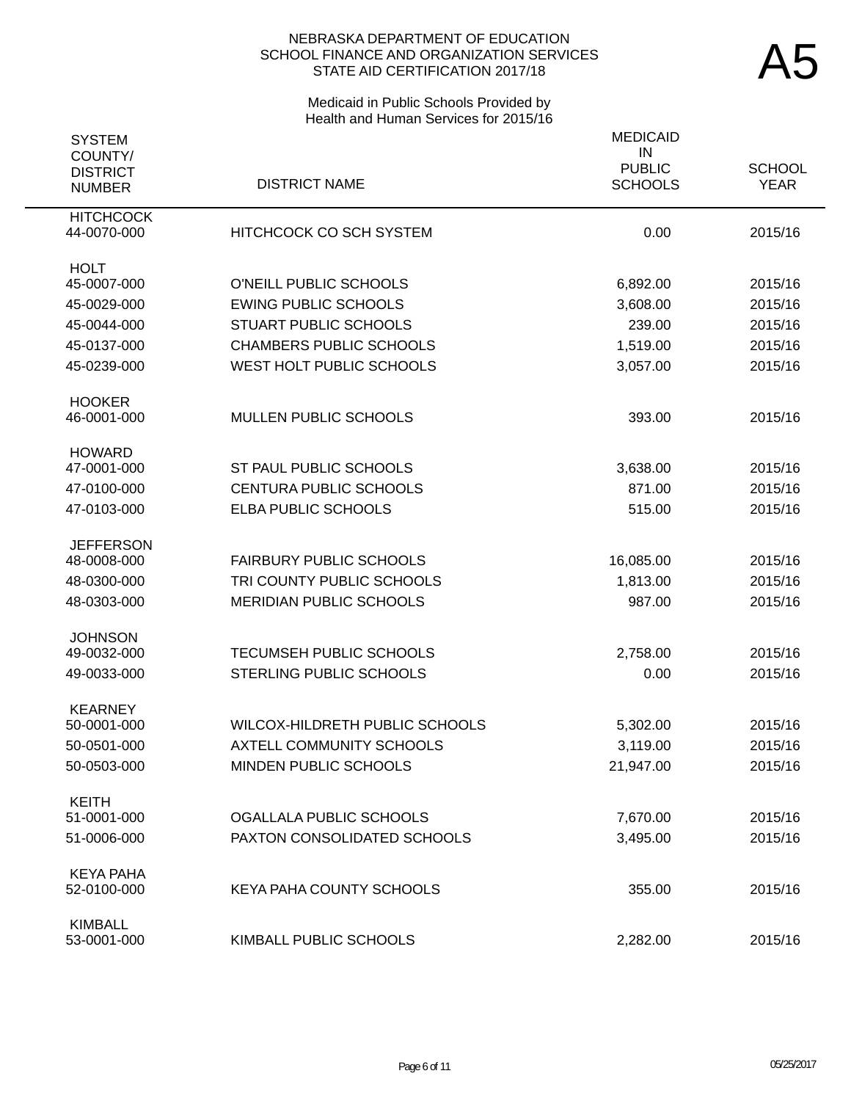# Medicaid in Public Schools Provided by Health and Human Services for 2015/16

| <b>SYSTEM</b>                               |                                 | <b>MEDICAID</b>                       |                              |
|---------------------------------------------|---------------------------------|---------------------------------------|------------------------------|
| COUNTY/<br><b>DISTRICT</b><br><b>NUMBER</b> | <b>DISTRICT NAME</b>            | IN<br><b>PUBLIC</b><br><b>SCHOOLS</b> | <b>SCHOOL</b><br><b>YEAR</b> |
| <b>HITCHCOCK</b><br>44-0070-000             | <b>HITCHCOCK CO SCH SYSTEM</b>  | 0.00                                  | 2015/16                      |
| <b>HOLT</b>                                 |                                 |                                       |                              |
| 45-0007-000                                 | O'NEILL PUBLIC SCHOOLS          | 6,892.00                              | 2015/16                      |
| 45-0029-000                                 | <b>EWING PUBLIC SCHOOLS</b>     | 3,608.00                              | 2015/16                      |
| 45-0044-000                                 | <b>STUART PUBLIC SCHOOLS</b>    | 239.00                                | 2015/16                      |
| 45-0137-000                                 | <b>CHAMBERS PUBLIC SCHOOLS</b>  | 1,519.00                              | 2015/16                      |
| 45-0239-000                                 | WEST HOLT PUBLIC SCHOOLS        | 3,057.00                              | 2015/16                      |
| <b>HOOKER</b>                               |                                 |                                       |                              |
| 46-0001-000                                 | <b>MULLEN PUBLIC SCHOOLS</b>    | 393.00                                | 2015/16                      |
| <b>HOWARD</b>                               |                                 |                                       |                              |
| 47-0001-000                                 | ST PAUL PUBLIC SCHOOLS          | 3,638.00                              | 2015/16                      |
| 47-0100-000                                 | <b>CENTURA PUBLIC SCHOOLS</b>   | 871.00                                | 2015/16                      |
| 47-0103-000                                 | ELBA PUBLIC SCHOOLS             | 515.00                                | 2015/16                      |
| <b>JEFFERSON</b>                            |                                 |                                       |                              |
| 48-0008-000                                 | <b>FAIRBURY PUBLIC SCHOOLS</b>  | 16,085.00                             | 2015/16                      |
| 48-0300-000                                 | TRI COUNTY PUBLIC SCHOOLS       | 1,813.00                              | 2015/16                      |
| 48-0303-000                                 | <b>MERIDIAN PUBLIC SCHOOLS</b>  | 987.00                                | 2015/16                      |
| <b>JOHNSON</b>                              |                                 |                                       |                              |
| 49-0032-000                                 | TECUMSEH PUBLIC SCHOOLS         | 2,758.00                              | 2015/16                      |
| 49-0033-000                                 | <b>STERLING PUBLIC SCHOOLS</b>  | 0.00                                  | 2015/16                      |
| <b>KEARNEY</b><br>50-0001-000               | WILCOX-HILDRETH PUBLIC SCHOOLS  |                                       | 2015/16                      |
|                                             |                                 | 5,302.00                              |                              |
| 50-0501-000                                 | <b>AXTELL COMMUNITY SCHOOLS</b> | 3,119.00                              | 2015/16                      |
| 50-0503-000                                 | MINDEN PUBLIC SCHOOLS           | 21,947.00                             | 2015/16                      |
| <b>KEITH</b><br>51-0001-000                 | OGALLALA PUBLIC SCHOOLS         |                                       |                              |
|                                             |                                 | 7,670.00                              | 2015/16                      |
| 51-0006-000                                 | PAXTON CONSOLIDATED SCHOOLS     | 3,495.00                              | 2015/16                      |
| <b>KEYA PAHA</b>                            | KEYA PAHA COUNTY SCHOOLS        |                                       |                              |
| 52-0100-000                                 |                                 | 355.00                                | 2015/16                      |
| <b>KIMBALL</b><br>53-0001-000               | KIMBALL PUBLIC SCHOOLS          | 2,282.00                              | 2015/16                      |
|                                             |                                 |                                       |                              |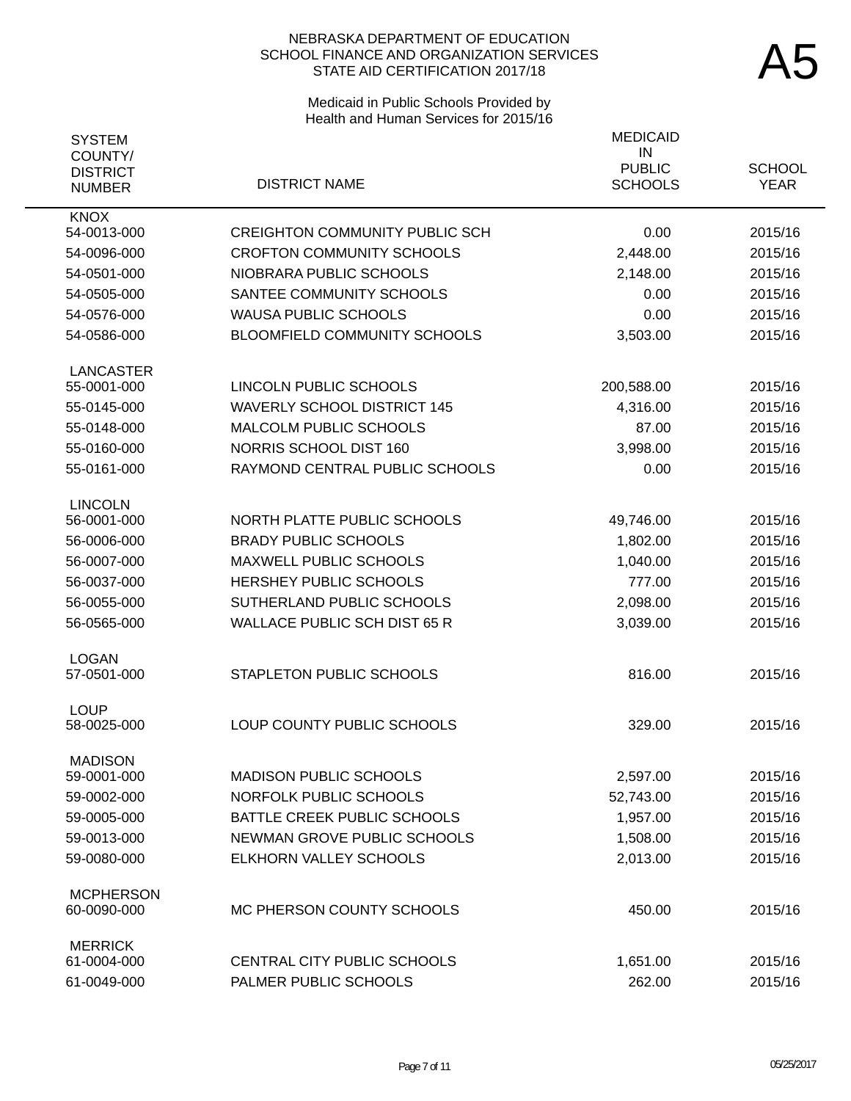# Medicaid in Public Schools Provided by Health and Human Services for 2015/16

| <b>SYSTEM</b>                    |                                       | <b>MEDICAID</b>     |               |
|----------------------------------|---------------------------------------|---------------------|---------------|
| COUNTY/                          |                                       | IN<br><b>PUBLIC</b> | <b>SCHOOL</b> |
| <b>DISTRICT</b><br><b>NUMBER</b> | <b>DISTRICT NAME</b>                  | <b>SCHOOLS</b>      | <b>YEAR</b>   |
| <b>KNOX</b>                      |                                       |                     |               |
| 54-0013-000                      | <b>CREIGHTON COMMUNITY PUBLIC SCH</b> | 0.00                | 2015/16       |
| 54-0096-000                      | <b>CROFTON COMMUNITY SCHOOLS</b>      | 2,448.00            | 2015/16       |
| 54-0501-000                      | NIOBRARA PUBLIC SCHOOLS               | 2,148.00            | 2015/16       |
| 54-0505-000                      | SANTEE COMMUNITY SCHOOLS              | 0.00                | 2015/16       |
| 54-0576-000                      | <b>WAUSA PUBLIC SCHOOLS</b>           | 0.00                | 2015/16       |
| 54-0586-000                      | <b>BLOOMFIELD COMMUNITY SCHOOLS</b>   | 3,503.00            | 2015/16       |
| <b>LANCASTER</b>                 |                                       |                     |               |
| 55-0001-000                      | LINCOLN PUBLIC SCHOOLS                | 200,588.00          | 2015/16       |
| 55-0145-000                      | <b>WAVERLY SCHOOL DISTRICT 145</b>    | 4,316.00            | 2015/16       |
| 55-0148-000                      | MALCOLM PUBLIC SCHOOLS                | 87.00               | 2015/16       |
| 55-0160-000                      | NORRIS SCHOOL DIST 160                | 3,998.00            | 2015/16       |
| 55-0161-000                      | RAYMOND CENTRAL PUBLIC SCHOOLS        | 0.00                | 2015/16       |
| <b>LINCOLN</b>                   |                                       |                     |               |
| 56-0001-000                      | NORTH PLATTE PUBLIC SCHOOLS           | 49,746.00           | 2015/16       |
| 56-0006-000                      | <b>BRADY PUBLIC SCHOOLS</b>           | 1,802.00            | 2015/16       |
| 56-0007-000                      | <b>MAXWELL PUBLIC SCHOOLS</b>         | 1,040.00            | 2015/16       |
| 56-0037-000                      | <b>HERSHEY PUBLIC SCHOOLS</b>         | 777.00              | 2015/16       |
| 56-0055-000                      | SUTHERLAND PUBLIC SCHOOLS             | 2,098.00            | 2015/16       |
| 56-0565-000                      | <b>WALLACE PUBLIC SCH DIST 65 R</b>   | 3,039.00            | 2015/16       |
| <b>LOGAN</b>                     |                                       |                     |               |
| 57-0501-000                      | <b>STAPLETON PUBLIC SCHOOLS</b>       | 816.00              | 2015/16       |
| <b>LOUP</b>                      |                                       |                     |               |
| 58-0025-000                      | LOUP COUNTY PUBLIC SCHOOLS            | 329.00              | 2015/16       |
| <b>MADISON</b><br>59-0001-000    | <b>MADISON PUBLIC SCHOOLS</b>         | 2,597.00            | 2015/16       |
| 59-0002-000                      | <b>NORFOLK PUBLIC SCHOOLS</b>         | 52,743.00           | 2015/16       |
| 59-0005-000                      | BATTLE CREEK PUBLIC SCHOOLS           | 1,957.00            | 2015/16       |
| 59-0013-000                      | NEWMAN GROVE PUBLIC SCHOOLS           | 1,508.00            | 2015/16       |
| 59-0080-000                      | ELKHORN VALLEY SCHOOLS                | 2,013.00            | 2015/16       |
|                                  |                                       |                     |               |
| <b>MCPHERSON</b><br>60-0090-000  | MC PHERSON COUNTY SCHOOLS             | 450.00              | 2015/16       |
| <b>MERRICK</b>                   |                                       |                     |               |
| 61-0004-000                      | CENTRAL CITY PUBLIC SCHOOLS           | 1,651.00            | 2015/16       |
| 61-0049-000                      | PALMER PUBLIC SCHOOLS                 | 262.00              | 2015/16       |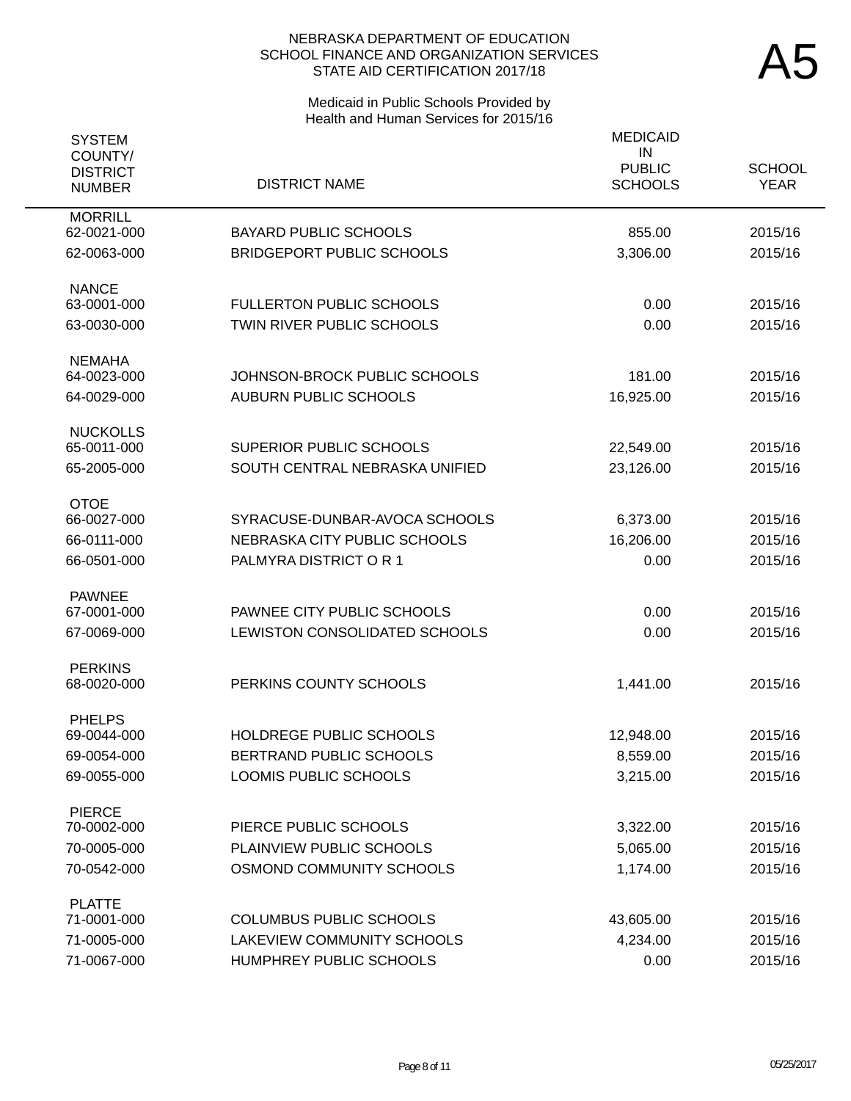# Medicaid in Public Schools Provided by Health and Human Services for 2015/16

| <b>SYSTEM</b><br>COUNTY/<br><b>DISTRICT</b><br><b>NUMBER</b> | <b>DISTRICT NAME</b>             | <b>MEDICAID</b><br>IN<br><b>PUBLIC</b><br><b>SCHOOLS</b> | <b>SCHOOL</b><br><b>YEAR</b> |
|--------------------------------------------------------------|----------------------------------|----------------------------------------------------------|------------------------------|
| <b>MORRILL</b><br>62-0021-000                                | <b>BAYARD PUBLIC SCHOOLS</b>     | 855.00                                                   | 2015/16                      |
| 62-0063-000                                                  | <b>BRIDGEPORT PUBLIC SCHOOLS</b> | 3,306.00                                                 | 2015/16                      |
| <b>NANCE</b><br>63-0001-000                                  | <b>FULLERTON PUBLIC SCHOOLS</b>  | 0.00                                                     | 2015/16                      |
| 63-0030-000                                                  | TWIN RIVER PUBLIC SCHOOLS        | 0.00                                                     | 2015/16                      |
| <b>NEMAHA</b><br>64-0023-000                                 | JOHNSON-BROCK PUBLIC SCHOOLS     | 181.00                                                   | 2015/16                      |
| 64-0029-000                                                  | <b>AUBURN PUBLIC SCHOOLS</b>     | 16,925.00                                                | 2015/16                      |
| <b>NUCKOLLS</b>                                              |                                  |                                                          |                              |
| 65-0011-000                                                  | <b>SUPERIOR PUBLIC SCHOOLS</b>   | 22,549.00                                                | 2015/16                      |
| 65-2005-000                                                  | SOUTH CENTRAL NEBRASKA UNIFIED   | 23,126.00                                                | 2015/16                      |
| <b>OTOE</b><br>66-0027-000                                   | SYRACUSE-DUNBAR-AVOCA SCHOOLS    | 6,373.00                                                 | 2015/16                      |
| 66-0111-000                                                  | NEBRASKA CITY PUBLIC SCHOOLS     | 16,206.00                                                | 2015/16                      |
| 66-0501-000                                                  | PALMYRA DISTRICT OR 1            | 0.00                                                     | 2015/16                      |
| <b>PAWNEE</b>                                                |                                  |                                                          |                              |
| 67-0001-000                                                  | PAWNEE CITY PUBLIC SCHOOLS       | 0.00                                                     | 2015/16                      |
| 67-0069-000                                                  | LEWISTON CONSOLIDATED SCHOOLS    | 0.00                                                     | 2015/16                      |
| <b>PERKINS</b>                                               |                                  |                                                          |                              |
| 68-0020-000                                                  | PERKINS COUNTY SCHOOLS           | 1,441.00                                                 | 2015/16                      |
| <b>PHELPS</b>                                                |                                  |                                                          |                              |
| 69-0044-000                                                  | HOLDREGE PUBLIC SCHOOLS          | 12,948.00                                                | 2015/16                      |
| 69-0054-000                                                  | BERTRAND PUBLIC SCHOOLS          | 8,559.00                                                 | 2015/16                      |
| 69-0055-000                                                  | <b>LOOMIS PUBLIC SCHOOLS</b>     | 3,215.00                                                 | 2015/16                      |
| <b>PIERCE</b>                                                |                                  |                                                          |                              |
| 70-0002-000                                                  | PIERCE PUBLIC SCHOOLS            | 3,322.00                                                 | 2015/16                      |
| 70-0005-000                                                  | PLAINVIEW PUBLIC SCHOOLS         | 5,065.00                                                 | 2015/16                      |
| 70-0542-000                                                  | OSMOND COMMUNITY SCHOOLS         | 1,174.00                                                 | 2015/16                      |
| <b>PLATTE</b>                                                |                                  |                                                          |                              |
| 71-0001-000                                                  | <b>COLUMBUS PUBLIC SCHOOLS</b>   | 43,605.00                                                | 2015/16                      |
| 71-0005-000                                                  | LAKEVIEW COMMUNITY SCHOOLS       | 4,234.00                                                 | 2015/16                      |
| 71-0067-000                                                  | HUMPHREY PUBLIC SCHOOLS          | 0.00                                                     | 2015/16                      |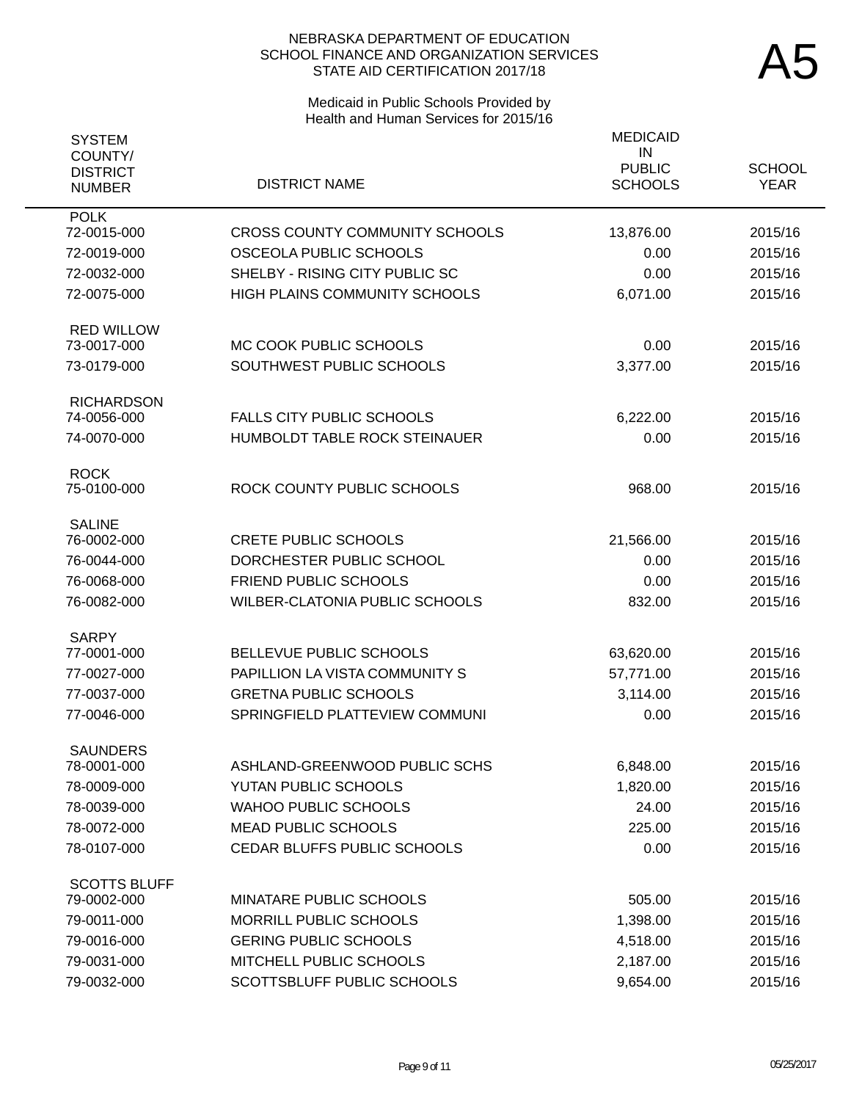# Medicaid in Public Schools Provided by Health and Human Services for 2015/16

| <b>SYSTEM</b>                               |                                       | <b>MEDICAID</b>                       |                              |
|---------------------------------------------|---------------------------------------|---------------------------------------|------------------------------|
| COUNTY/<br><b>DISTRICT</b><br><b>NUMBER</b> | <b>DISTRICT NAME</b>                  | IN<br><b>PUBLIC</b><br><b>SCHOOLS</b> | <b>SCHOOL</b><br><b>YEAR</b> |
| <b>POLK</b>                                 |                                       |                                       |                              |
| 72-0015-000                                 | <b>CROSS COUNTY COMMUNITY SCHOOLS</b> | 13,876.00                             | 2015/16                      |
| 72-0019-000                                 | OSCEOLA PUBLIC SCHOOLS                | 0.00                                  | 2015/16                      |
| 72-0032-000                                 | SHELBY - RISING CITY PUBLIC SC        | 0.00                                  | 2015/16                      |
| 72-0075-000                                 | <b>HIGH PLAINS COMMUNITY SCHOOLS</b>  | 6,071.00                              | 2015/16                      |
| <b>RED WILLOW</b><br>73-0017-000            | MC COOK PUBLIC SCHOOLS                | 0.00                                  | 2015/16                      |
|                                             |                                       |                                       |                              |
| 73-0179-000                                 | SOUTHWEST PUBLIC SCHOOLS              | 3,377.00                              | 2015/16                      |
| <b>RICHARDSON</b><br>74-0056-000            | <b>FALLS CITY PUBLIC SCHOOLS</b>      | 6,222.00                              | 2015/16                      |
| 74-0070-000                                 | HUMBOLDT TABLE ROCK STEINAUER         | 0.00                                  | 2015/16                      |
|                                             |                                       |                                       |                              |
| <b>ROCK</b><br>75-0100-000                  | ROCK COUNTY PUBLIC SCHOOLS            | 968.00                                | 2015/16                      |
|                                             |                                       |                                       |                              |
| <b>SALINE</b><br>76-0002-000                | <b>CRETE PUBLIC SCHOOLS</b>           | 21,566.00                             | 2015/16                      |
| 76-0044-000                                 | DORCHESTER PUBLIC SCHOOL              | 0.00                                  | 2015/16                      |
| 76-0068-000                                 | <b>FRIEND PUBLIC SCHOOLS</b>          | 0.00                                  | 2015/16                      |
| 76-0082-000                                 | WILBER-CLATONIA PUBLIC SCHOOLS        | 832.00                                | 2015/16                      |
| <b>SARPY</b>                                |                                       |                                       |                              |
| 77-0001-000                                 | BELLEVUE PUBLIC SCHOOLS               | 63,620.00                             | 2015/16                      |
| 77-0027-000                                 | PAPILLION LA VISTA COMMUNITY S        | 57,771.00                             | 2015/16                      |
| 77-0037-000                                 | <b>GRETNA PUBLIC SCHOOLS</b>          | 3,114.00                              | 2015/16                      |
| 77-0046-000                                 | SPRINGFIELD PLATTEVIEW COMMUNI        | 0.00                                  | 2015/16                      |
| <b>SAUNDERS</b>                             |                                       |                                       |                              |
| 78-0001-000                                 | ASHLAND-GREENWOOD PUBLIC SCHS         | 6,848.00                              | 2015/16                      |
| 78-0009-000                                 | YUTAN PUBLIC SCHOOLS                  | 1,820.00                              | 2015/16                      |
| 78-0039-000                                 | <b>WAHOO PUBLIC SCHOOLS</b>           | 24.00                                 | 2015/16                      |
| 78-0072-000                                 | <b>MEAD PUBLIC SCHOOLS</b>            | 225.00                                | 2015/16                      |
| 78-0107-000                                 | CEDAR BLUFFS PUBLIC SCHOOLS           | 0.00                                  | 2015/16                      |
| <b>SCOTTS BLUFF</b>                         |                                       |                                       |                              |
| 79-0002-000                                 | MINATARE PUBLIC SCHOOLS               | 505.00                                | 2015/16                      |
| 79-0011-000                                 | MORRILL PUBLIC SCHOOLS                | 1,398.00                              | 2015/16                      |
| 79-0016-000                                 | <b>GERING PUBLIC SCHOOLS</b>          | 4,518.00                              | 2015/16                      |
| 79-0031-000                                 | MITCHELL PUBLIC SCHOOLS               | 2,187.00                              | 2015/16                      |
| 79-0032-000                                 | SCOTTSBLUFF PUBLIC SCHOOLS            | 9,654.00                              | 2015/16                      |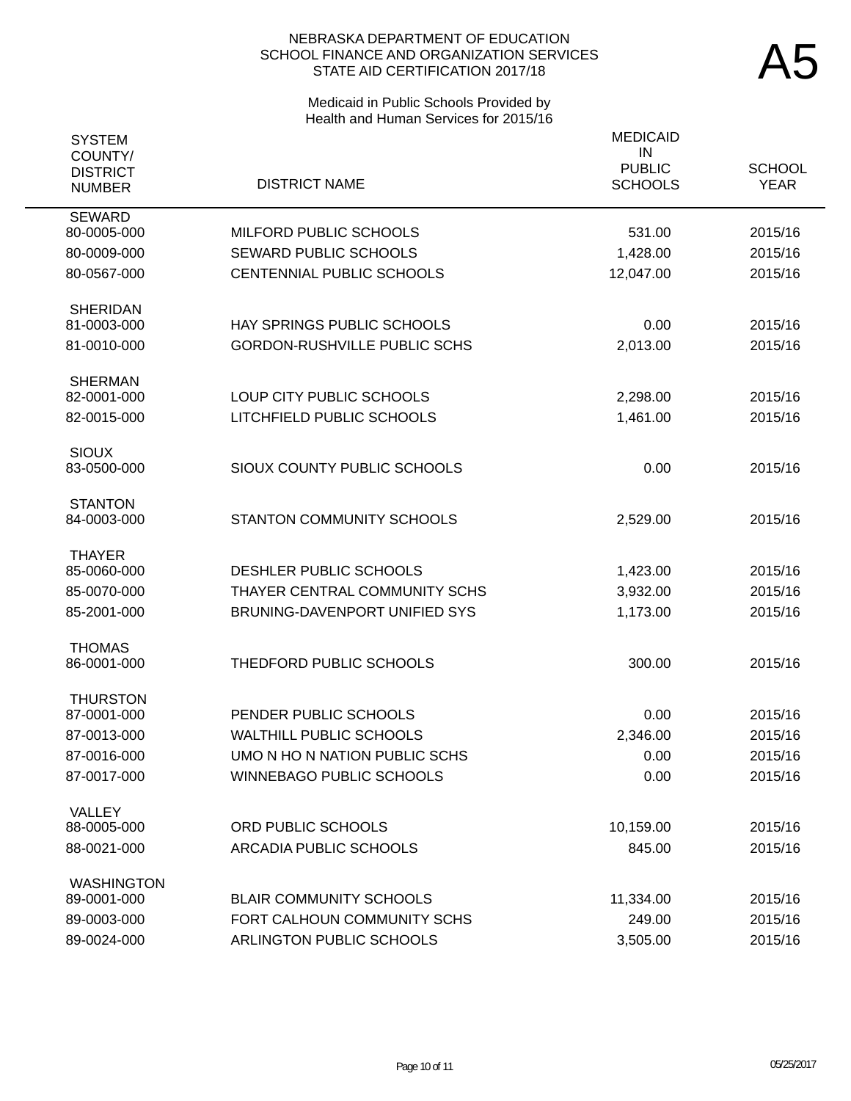# Medicaid in Public Schools Provided by Health and Human Services for 2015/16

| <b>SYSTEM</b><br>COUNTY/         |                                                         | <b>MEDICAID</b><br>IN           |                              |
|----------------------------------|---------------------------------------------------------|---------------------------------|------------------------------|
| <b>DISTRICT</b><br><b>NUMBER</b> | <b>DISTRICT NAME</b>                                    | <b>PUBLIC</b><br><b>SCHOOLS</b> | <b>SCHOOL</b><br><b>YEAR</b> |
| <b>SEWARD</b><br>80-0005-000     | MILFORD PUBLIC SCHOOLS                                  | 531.00                          | 2015/16                      |
| 80-0009-000                      | SEWARD PUBLIC SCHOOLS                                   | 1,428.00                        | 2015/16                      |
| 80-0567-000                      | CENTENNIAL PUBLIC SCHOOLS                               | 12,047.00                       | 2015/16                      |
| <b>SHERIDAN</b><br>81-0003-000   | HAY SPRINGS PUBLIC SCHOOLS                              | 0.00                            | 2015/16                      |
| 81-0010-000                      | <b>GORDON-RUSHVILLE PUBLIC SCHS</b>                     | 2,013.00                        | 2015/16                      |
|                                  |                                                         |                                 |                              |
| <b>SHERMAN</b><br>82-0001-000    | LOUP CITY PUBLIC SCHOOLS                                | 2,298.00                        | 2015/16                      |
| 82-0015-000                      | LITCHFIELD PUBLIC SCHOOLS                               | 1,461.00                        | 2015/16                      |
|                                  |                                                         |                                 |                              |
| <b>SIOUX</b>                     |                                                         |                                 |                              |
| 83-0500-000                      | SIOUX COUNTY PUBLIC SCHOOLS                             | 0.00                            | 2015/16                      |
| <b>STANTON</b>                   |                                                         |                                 |                              |
| 84-0003-000                      | STANTON COMMUNITY SCHOOLS                               | 2,529.00                        | 2015/16                      |
| <b>THAYER</b>                    |                                                         |                                 |                              |
| 85-0060-000                      | DESHLER PUBLIC SCHOOLS                                  | 1,423.00                        | 2015/16                      |
| 85-0070-000                      | THAYER CENTRAL COMMUNITY SCHS                           | 3,932.00                        | 2015/16                      |
| 85-2001-000                      | BRUNING-DAVENPORT UNIFIED SYS                           | 1,173.00                        | 2015/16                      |
| <b>THOMAS</b>                    |                                                         |                                 |                              |
| 86-0001-000                      | THEDFORD PUBLIC SCHOOLS                                 | 300.00                          | 2015/16                      |
| <b>THURSTON</b>                  |                                                         |                                 |                              |
| 87-0001-000                      | PENDER PUBLIC SCHOOLS                                   | 0.00                            | 2015/16                      |
| 87-0013-000                      | <b>WALTHILL PUBLIC SCHOOLS</b>                          | 2,346.00                        | 2015/16                      |
| 87-0016-000                      | UMO N HO N NATION PUBLIC SCHS                           | 0.00                            | 2015/16                      |
| 87-0017-000                      | <b>WINNEBAGO PUBLIC SCHOOLS</b>                         | 0.00                            | 2015/16                      |
| <b>VALLEY</b>                    |                                                         |                                 |                              |
| 88-0005-000                      | ORD PUBLIC SCHOOLS                                      | 10,159.00                       | 2015/16                      |
| 88-0021-000                      | <b>ARCADIA PUBLIC SCHOOLS</b>                           | 845.00                          | 2015/16                      |
| <b>WASHINGTON</b>                |                                                         |                                 |                              |
| 89-0001-000                      | <b>BLAIR COMMUNITY SCHOOLS</b>                          | 11,334.00                       | 2015/16                      |
| 89-0003-000<br>89-0024-000       | FORT CALHOUN COMMUNITY SCHS<br>ARLINGTON PUBLIC SCHOOLS | 249.00<br>3,505.00              | 2015/16<br>2015/16           |
|                                  |                                                         |                                 |                              |